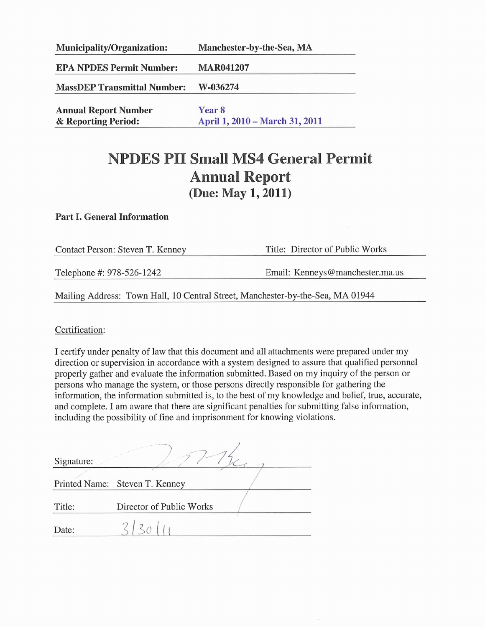| <b>Municipality/Organization:</b>  | Manchester-by-the-Sea, MA      |  |  |
|------------------------------------|--------------------------------|--|--|
| <b>EPA NPDES Permit Number:</b>    | <b>MAR041207</b>               |  |  |
| <b>MassDEP Transmittal Number:</b> | W-036274                       |  |  |
| <b>Annual Report Number</b>        | Year 8                         |  |  |
| & Reporting Period:                | April 1, 2010 – March 31, 2011 |  |  |

# **NPDES PII Small MS4 General Permit Annual Report** (Due: May 1, 2011)

#### **Part I. General Information**

| Contact Person: Steven T. Kenney                                               | Title: Director of Public Works |  |  |  |  |  |
|--------------------------------------------------------------------------------|---------------------------------|--|--|--|--|--|
| Telephone #: 978-526-1242                                                      | Email: Kenneys@manchester.ma.us |  |  |  |  |  |
| Mailing Address: Town Hall, 10 Central Street, Manchester-by-the-Sea, MA 01944 |                                 |  |  |  |  |  |

Certification:

I certify under penalty of law that this document and all attachments were prepared under my direction or supervision in accordance with a system designed to assure that qualified personnel properly gather and evaluate the information submitted. Based on my inquiry of the person or persons who manage the system, or those persons directly responsible for gathering the information, the information submitted is, to the best of my knowledge and belief, true, accurate, and complete. I am aware that there are significant penalties for submitting false information, including the possibility of fine and imprisonment for knowing violations.

| Signature: |                                |  |
|------------|--------------------------------|--|
|            |                                |  |
|            | Printed Name: Steven T. Kenney |  |
|            |                                |  |
| Title:     | Director of Public Works       |  |
| Date:      |                                |  |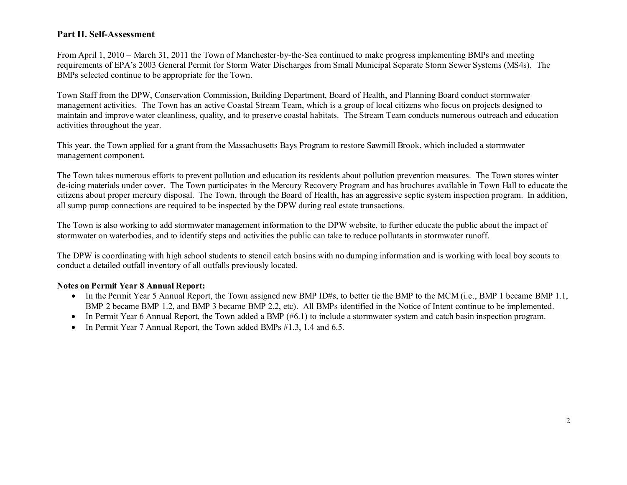### **Part II. Self-Assessment**

From April 1, 2010 – March 31, 2011 the Town of Manchester-by-the-Sea continued to make progress implementing BMPs and meeting requirements of EPA's 2003 General Permit for Storm Water Discharges from Small Municipal Separate Storm Sewer Systems (MS4s). The BMPs selected continue to be appropriate for the Town.

Town Staff from the DPW, Conservation Commission, Building Department, Board of Health, and Planning Board conduct stormwater management activities. The Town has an active Coastal Stream Team, which is a group of local citizens who focus on projects designed to maintain and improve water cleanliness, quality, and to preserve coastal habitats. The Stream Team conducts numerous outreach and education activities throughout the year.

This year, the Town applied for a grant from the Massachusetts Bays Program to restore Sawmill Brook, which included a stormwater management component.

The Town takes numerous efforts to prevent pollution and education its residents about pollution prevention measures. The Town stores winter de-icing materials under cover. The Town participates in the Mercury Recovery Program and has brochures available in Town Hall to educate the citizens about proper mercury disposal. The Town, through the Board of Health, has an aggressive septic system inspection program. In addition, all sump pump connections are required to be inspected by the DPW during real estate transactions.

The Town is also working to add stormwater management information to the DPW website, to further educate the public about the impact of stormwater on waterbodies, and to identify steps and activities the public can take to reduce pollutants in stormwater runoff.

The DPW is coordinating with high school students to stencil catch basins with no dumping information and is working with local boy scouts to conduct a detailed outfall inventory of all outfalls previously located.

#### **Notes on Permit Year 8 Annual Report:**

- In the Permit Year 5 Annual Report, the Town assigned new BMP ID#s, to better tie the BMP to the MCM (i.e., BMP 1 became BMP 1.1, BMP 2 became BMP 1.2, and BMP 3 became BMP 2.2, etc). All BMPs identified in the Notice of Intent continue to be implemented.
- In Permit Year 6 Annual Report, the Town added a BMP (#6.1) to include a stormwater system and catch basin inspection program.
- In Permit Year 7 Annual Report, the Town added BMPs #1.3, 1.4 and 6.5.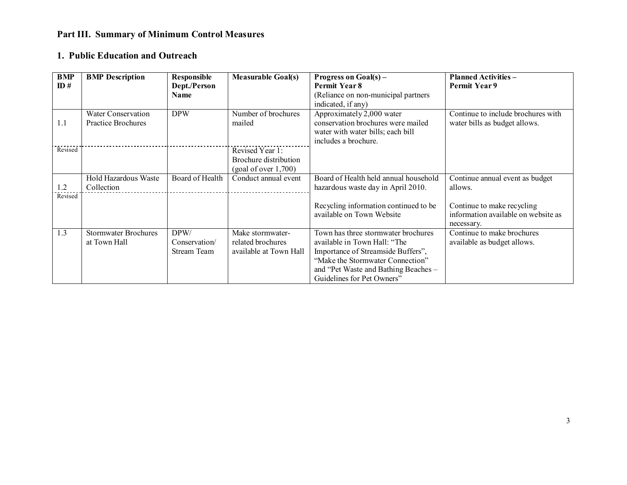## **Part III. Summary of Minimum Control Measures**

### **1. Public Education and Outreach**

| <b>BMP</b><br>ID# | <b>BMP</b> Description                                 | <b>Responsible</b><br>Dept./Person<br><b>Name</b> | <b>Measurable Goal(s)</b>                                        | Progress on Goal(s) –<br>Permit Year 8<br>(Reliance on non-municipal partners<br>indicated, if any)                                                                                                                 | <b>Planned Activities -</b><br>Permit Year 9                                    |
|-------------------|--------------------------------------------------------|---------------------------------------------------|------------------------------------------------------------------|---------------------------------------------------------------------------------------------------------------------------------------------------------------------------------------------------------------------|---------------------------------------------------------------------------------|
| 1.1               | <b>Water Conservation</b><br><b>Practice Brochures</b> | <b>DPW</b>                                        | Number of brochures<br>mailed                                    | Approximately 2,000 water<br>conservation brochures were mailed<br>water with water bills; each bill<br>includes a brochure.                                                                                        | Continue to include brochures with<br>water bills as budget allows.             |
| Revised           |                                                        |                                                   | Revised Year 1:<br>Brochure distribution<br>(goal of over 1,700) |                                                                                                                                                                                                                     |                                                                                 |
| 1.2<br>Revised    | <b>Hold Hazardous Waste</b><br>Collection              | Board of Health                                   | Conduct annual event                                             | Board of Health held annual household<br>hazardous waste day in April 2010.                                                                                                                                         | Continue annual event as budget<br>allows.                                      |
|                   |                                                        |                                                   |                                                                  | Recycling information continued to be<br>available on Town Website                                                                                                                                                  | Continue to make recycling<br>information available on website as<br>necessary. |
| 1.3               | <b>Stormwater Brochures</b><br>at Town Hall            | DPW/<br>Conservation/<br>Stream Team              | Make stormwater-<br>related brochures<br>available at Town Hall  | Town has three stormwater brochures<br>available in Town Hall: "The<br>Importance of Streamside Buffers",<br>"Make the Stormwater Connection"<br>and "Pet Waste and Bathing Beaches -<br>Guidelines for Pet Owners" | Continue to make brochures<br>available as budget allows.                       |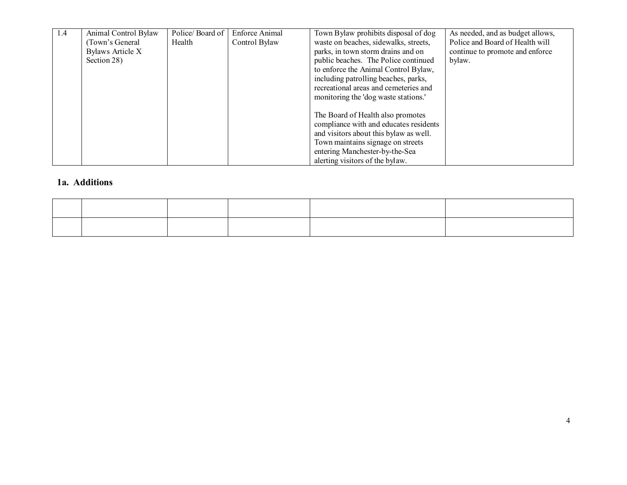| 1.4 | Animal Control Bylaw | Police/Board of | <b>Enforce Animal</b> | Town Bylaw prohibits disposal of dog   | As needed, and as budget allows, |
|-----|----------------------|-----------------|-----------------------|----------------------------------------|----------------------------------|
|     | (Town's General      | Health          | Control Bylaw         | waste on beaches, sidewalks, streets,  | Police and Board of Health will  |
|     | Bylaws Article X     |                 |                       | parks, in town storm drains and on     | continue to promote and enforce  |
|     | Section 28)          |                 |                       | public beaches. The Police continued   | bylaw.                           |
|     |                      |                 |                       | to enforce the Animal Control Bylaw,   |                                  |
|     |                      |                 |                       | including patrolling beaches, parks,   |                                  |
|     |                      |                 |                       | recreational areas and cemeteries and  |                                  |
|     |                      |                 |                       | monitoring the 'dog waste stations.'   |                                  |
|     |                      |                 |                       |                                        |                                  |
|     |                      |                 |                       | The Board of Health also promotes      |                                  |
|     |                      |                 |                       | compliance with and educates residents |                                  |
|     |                      |                 |                       | and visitors about this bylaw as well. |                                  |
|     |                      |                 |                       | Town maintains signage on streets      |                                  |
|     |                      |                 |                       | entering Manchester-by-the-Sea         |                                  |
|     |                      |                 |                       | alerting visitors of the bylaw.        |                                  |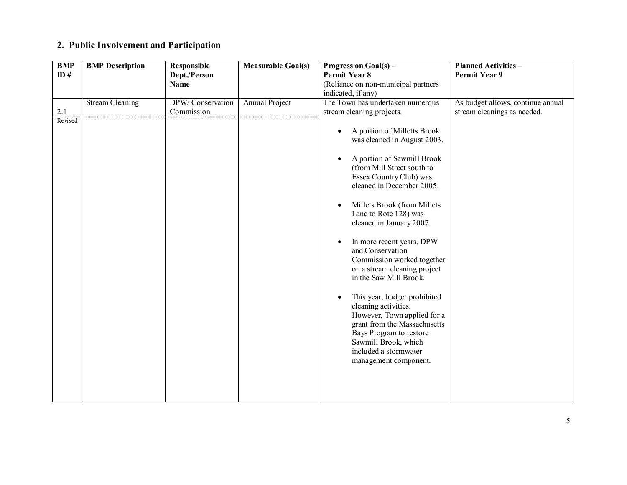## **2. Public Involvement and Participation**

| <b>BMP</b> | <b>BMP</b> Description | <b>Responsible</b> | <b>Measurable Goal(s)</b> | Progress on $Goal(s) -$                   | <b>Planned Activities -</b>       |
|------------|------------------------|--------------------|---------------------------|-------------------------------------------|-----------------------------------|
| ID#        |                        | Dept./Person       |                           | Permit Year 8                             | <b>Permit Year 9</b>              |
|            |                        | <b>Name</b>        |                           | (Reliance on non-municipal partners       |                                   |
|            |                        |                    |                           | indicated, if any)                        |                                   |
|            | <b>Stream Cleaning</b> | DPW/Conservation   | Annual Project            | The Town has undertaken numerous          | As budget allows, continue annual |
| 2.1        |                        | Commission         |                           | stream cleaning projects.                 | stream cleanings as needed.       |
| Revised    |                        |                    |                           |                                           |                                   |
|            |                        |                    |                           | A portion of Milletts Brook<br>$\bullet$  |                                   |
|            |                        |                    |                           | was cleaned in August 2003.               |                                   |
|            |                        |                    |                           |                                           |                                   |
|            |                        |                    |                           | A portion of Sawmill Brook                |                                   |
|            |                        |                    |                           | (from Mill Street south to                |                                   |
|            |                        |                    |                           | Essex Country Club) was                   |                                   |
|            |                        |                    |                           | cleaned in December 2005.                 |                                   |
|            |                        |                    |                           |                                           |                                   |
|            |                        |                    |                           | Millets Brook (from Millets<br>$\bullet$  |                                   |
|            |                        |                    |                           | Lane to Rote 128) was                     |                                   |
|            |                        |                    |                           | cleaned in January 2007.                  |                                   |
|            |                        |                    |                           |                                           |                                   |
|            |                        |                    |                           | In more recent years, DPW                 |                                   |
|            |                        |                    |                           | and Conservation                          |                                   |
|            |                        |                    |                           | Commission worked together                |                                   |
|            |                        |                    |                           | on a stream cleaning project              |                                   |
|            |                        |                    |                           | in the Saw Mill Brook.                    |                                   |
|            |                        |                    |                           |                                           |                                   |
|            |                        |                    |                           | This year, budget prohibited<br>$\bullet$ |                                   |
|            |                        |                    |                           | cleaning activities.                      |                                   |
|            |                        |                    |                           | However, Town applied for a               |                                   |
|            |                        |                    |                           | grant from the Massachusetts              |                                   |
|            |                        |                    |                           | Bays Program to restore                   |                                   |
|            |                        |                    |                           | Sawmill Brook, which                      |                                   |
|            |                        |                    |                           | included a stormwater                     |                                   |
|            |                        |                    |                           | management component.                     |                                   |
|            |                        |                    |                           |                                           |                                   |
|            |                        |                    |                           |                                           |                                   |
|            |                        |                    |                           |                                           |                                   |
|            |                        |                    |                           |                                           |                                   |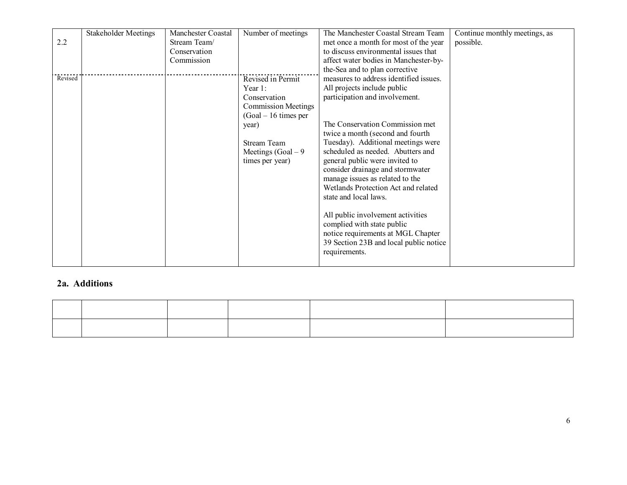|         | <b>Stakeholder Meetings</b> | Manchester Coastal | Number of meetings                                                                         | The Manchester Coastal Stream Team                                                                                                                                                                                                                                                                                                                                           | Continue monthly meetings, as |
|---------|-----------------------------|--------------------|--------------------------------------------------------------------------------------------|------------------------------------------------------------------------------------------------------------------------------------------------------------------------------------------------------------------------------------------------------------------------------------------------------------------------------------------------------------------------------|-------------------------------|
| 2.2     |                             | Stream Team/       |                                                                                            | met once a month for most of the year                                                                                                                                                                                                                                                                                                                                        | possible.                     |
|         |                             | Conservation       |                                                                                            | to discuss environmental issues that                                                                                                                                                                                                                                                                                                                                         |                               |
|         |                             | Commission         |                                                                                            | affect water bodies in Manchester-by-                                                                                                                                                                                                                                                                                                                                        |                               |
|         |                             |                    |                                                                                            | the-Sea and to plan corrective                                                                                                                                                                                                                                                                                                                                               |                               |
| Revised |                             |                    | Revised in Permit                                                                          | measures to address identified issues.                                                                                                                                                                                                                                                                                                                                       |                               |
|         |                             |                    | Year $1$ :                                                                                 | All projects include public                                                                                                                                                                                                                                                                                                                                                  |                               |
|         |                             |                    | Conservation                                                                               | participation and involvement.                                                                                                                                                                                                                                                                                                                                               |                               |
|         |                             |                    | <b>Commission Meetings</b>                                                                 |                                                                                                                                                                                                                                                                                                                                                                              |                               |
|         |                             |                    |                                                                                            |                                                                                                                                                                                                                                                                                                                                                                              |                               |
|         |                             |                    |                                                                                            | The Conservation Commission met                                                                                                                                                                                                                                                                                                                                              |                               |
|         |                             |                    |                                                                                            |                                                                                                                                                                                                                                                                                                                                                                              |                               |
|         |                             |                    |                                                                                            |                                                                                                                                                                                                                                                                                                                                                                              |                               |
|         |                             |                    |                                                                                            | scheduled as needed. Abutters and                                                                                                                                                                                                                                                                                                                                            |                               |
|         |                             |                    |                                                                                            |                                                                                                                                                                                                                                                                                                                                                                              |                               |
|         |                             |                    |                                                                                            |                                                                                                                                                                                                                                                                                                                                                                              |                               |
|         |                             |                    |                                                                                            |                                                                                                                                                                                                                                                                                                                                                                              |                               |
|         |                             |                    |                                                                                            | Wetlands Protection Act and related                                                                                                                                                                                                                                                                                                                                          |                               |
|         |                             |                    |                                                                                            |                                                                                                                                                                                                                                                                                                                                                                              |                               |
|         |                             |                    |                                                                                            |                                                                                                                                                                                                                                                                                                                                                                              |                               |
|         |                             |                    |                                                                                            |                                                                                                                                                                                                                                                                                                                                                                              |                               |
|         |                             |                    |                                                                                            |                                                                                                                                                                                                                                                                                                                                                                              |                               |
|         |                             |                    |                                                                                            |                                                                                                                                                                                                                                                                                                                                                                              |                               |
|         |                             |                    |                                                                                            |                                                                                                                                                                                                                                                                                                                                                                              |                               |
|         |                             |                    |                                                                                            |                                                                                                                                                                                                                                                                                                                                                                              |                               |
|         |                             |                    |                                                                                            |                                                                                                                                                                                                                                                                                                                                                                              |                               |
|         |                             |                    | $(Goal - 16$ times per<br>year)<br>Stream Team<br>Meetings $(Goal - 9)$<br>times per year) | twice a month (second and fourth<br>Tuesday). Additional meetings were<br>general public were invited to<br>consider drainage and stormwater<br>manage issues as related to the<br>state and local laws.<br>All public involvement activities<br>complied with state public<br>notice requirements at MGL Chapter<br>39 Section 23B and local public notice<br>requirements. |                               |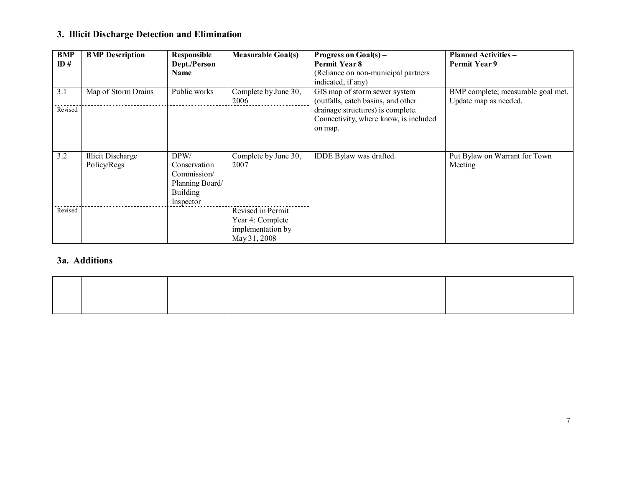## **3. Illicit Discharge Detection and Elimination**

| BMP<br>ID# | <b>BMP</b> Description           | Responsible<br>Dept./Person<br>Name                                                    | <b>Measurable Goal(s)</b>                                                  | Progress on $Goal(s) -$<br>Permit Year 8<br>(Reliance on non-municipal partners<br>indicated, if any) | <b>Planned Activities -</b><br>Permit Year 9                |
|------------|----------------------------------|----------------------------------------------------------------------------------------|----------------------------------------------------------------------------|-------------------------------------------------------------------------------------------------------|-------------------------------------------------------------|
| 3.1        | Map of Storm Drains              | Public works                                                                           | Complete by June 30,<br>2006                                               | GIS map of storm sewer system<br>(outfalls, catch basins, and other                                   | BMP complete; measurable goal met.<br>Update map as needed. |
| Revised    |                                  |                                                                                        |                                                                            | drainage structures) is complete.<br>Connectivity, where know, is included<br>on map.                 |                                                             |
| 3.2        | Illicit Discharge<br>Policy/Regs | DPW/<br>Conservation<br>Commission/<br>Planning Board/<br><b>Building</b><br>Inspector | Complete by June 30,<br>2007                                               | IDDE Bylaw was drafted.                                                                               | Put Bylaw on Warrant for Town<br>Meeting                    |
| Revised    |                                  |                                                                                        | Revised in Permit<br>Year 4: Complete<br>implementation by<br>May 31, 2008 |                                                                                                       |                                                             |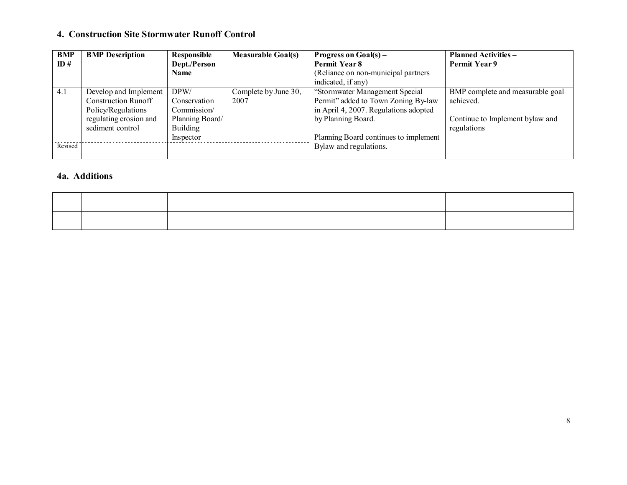### **4. Construction Site Stormwater Runoff Control**

| <b>BMP</b> | <b>BMP</b> Description     | Responsible     | <b>Measurable Goal(s)</b> | Progress on $Goal(s) -$               | <b>Planned Activities –</b>      |
|------------|----------------------------|-----------------|---------------------------|---------------------------------------|----------------------------------|
| ID#        |                            | Dept./Person    |                           | Permit Year 8                         | Permit Year 9                    |
|            |                            | <b>Name</b>     |                           | (Reliance on non-municipal partners)  |                                  |
|            |                            |                 |                           | indicated, if any)                    |                                  |
| 4.1        | Develop and Implement      | DPW/            | Complete by June 30,      | "Stormwater Management Special        | BMP complete and measurable goal |
|            | <b>Construction Runoff</b> | Conservation    | 2007                      | Permit" added to Town Zoning By-law   | achieved.                        |
|            | Policy/Regulations         | Commission/     |                           | in April 4, 2007. Regulations adopted |                                  |
|            | regulating erosion and     | Planning Board/ |                           | by Planning Board.                    | Continue to Implement bylaw and  |
|            | sediment control           | Building        |                           |                                       | regulations                      |
|            |                            | Inspector       |                           | Planning Board continues to implement |                                  |
| Revised    |                            |                 |                           | Bylaw and regulations.                |                                  |
|            |                            |                 |                           |                                       |                                  |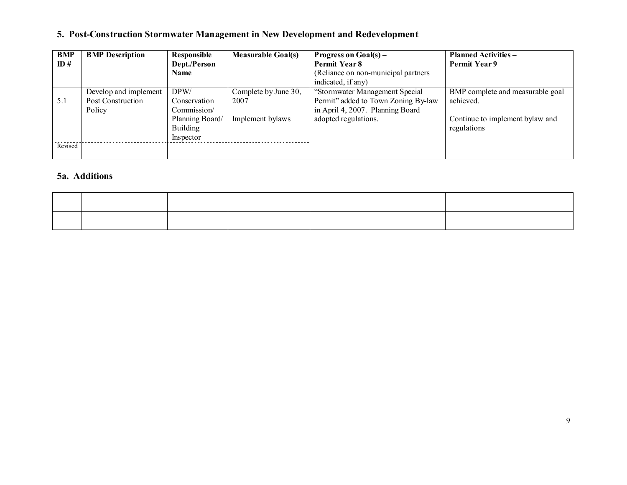## **5. Post-Construction Stormwater Management in New Development and Redevelopment**

| BMP     | <b>BMP</b> Description | Responsible     | <b>Measurable Goal(s)</b> | Progress on $Goal(s) -$              | <b>Planned Activities –</b>      |
|---------|------------------------|-----------------|---------------------------|--------------------------------------|----------------------------------|
| ID#     |                        | Dept./Person    |                           | Permit Year 8                        | Permit Year 9                    |
|         |                        | Name            |                           | (Reliance on non-municipal partners) |                                  |
|         |                        |                 |                           | indicated, if any)                   |                                  |
|         | Develop and implement  | DPW/            | Complete by June 30,      | "Stormwater Management Special       | BMP complete and measurable goal |
| 5.1     | Post Construction      | Conservation    | 2007                      | Permit" added to Town Zoning By-law  | achieved.                        |
|         | Policy                 | Commission/     |                           | in April 4, 2007. Planning Board     |                                  |
|         |                        | Planning Board/ | Implement bylaws          | adopted regulations.                 | Continue to implement bylaw and  |
|         |                        | <b>Building</b> |                           |                                      | regulations                      |
|         |                        | Inspector       |                           |                                      |                                  |
| Revised |                        |                 |                           |                                      |                                  |
|         |                        |                 |                           |                                      |                                  |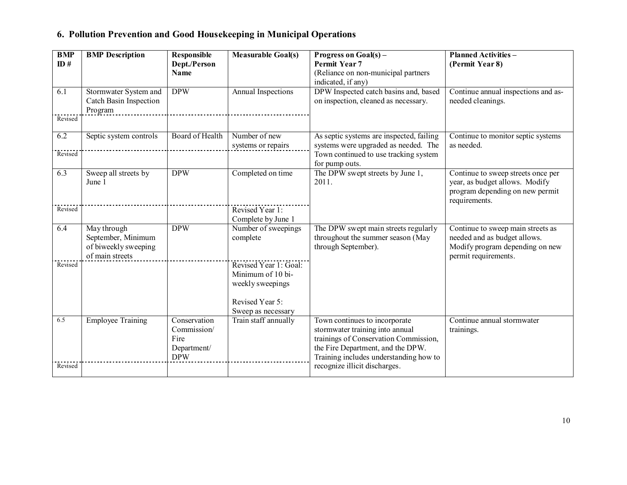|  | 6. Pollution Prevention and Good Housekeeping in Municipal Operations |  |  |  |  |
|--|-----------------------------------------------------------------------|--|--|--|--|
|  |                                                                       |  |  |  |  |

| <b>BMP</b><br>ID# | <b>BMP</b> Description                                                       | <b>Responsible</b><br>Dept./Person<br><b>Name</b>                | <b>Measurable Goal(s)</b>                                                         | Progress on Goal(s) –<br><b>Permit Year 7</b><br>(Reliance on non-municipal partners                                                                                                                                      | <b>Planned Activities -</b><br>(Permit Year 8)                                                                               |
|-------------------|------------------------------------------------------------------------------|------------------------------------------------------------------|-----------------------------------------------------------------------------------|---------------------------------------------------------------------------------------------------------------------------------------------------------------------------------------------------------------------------|------------------------------------------------------------------------------------------------------------------------------|
|                   |                                                                              |                                                                  |                                                                                   | indicated, if any)                                                                                                                                                                                                        |                                                                                                                              |
| 6.1<br>Revised    | Stormwater System and<br>Catch Basin Inspection<br>Program                   | <b>DPW</b>                                                       | <b>Annual Inspections</b>                                                         | DPW Inspected catch basins and, based<br>on inspection, cleaned as necessary.                                                                                                                                             | Continue annual inspections and as-<br>needed cleanings.                                                                     |
|                   |                                                                              |                                                                  |                                                                                   |                                                                                                                                                                                                                           |                                                                                                                              |
| 6.2               | Septic system controls                                                       | Board of Health                                                  | Number of new<br>systems or repairs                                               | As septic systems are inspected, failing<br>systems were upgraded as needed. The                                                                                                                                          | Continue to monitor septic systems<br>as needed.                                                                             |
| Revised           |                                                                              |                                                                  |                                                                                   | Town continued to use tracking system<br>for pump outs.                                                                                                                                                                   |                                                                                                                              |
| 6.3               | Sweep all streets by<br>June 1                                               | <b>DPW</b>                                                       | Completed on time                                                                 | The DPW swept streets by June 1,<br>2011.                                                                                                                                                                                 | Continue to sweep streets once per<br>year, as budget allows. Modify<br>program depending on new permit<br>requirements.     |
| Revised           |                                                                              |                                                                  | Revised Year 1:<br>Complete by June 1                                             |                                                                                                                                                                                                                           |                                                                                                                              |
| 6.4               | May through<br>September, Minimum<br>of biweekly sweeping<br>of main streets | <b>DPW</b>                                                       | Number of sweepings<br>complete                                                   | The DPW swept main streets regularly<br>throughout the summer season (May<br>through September).                                                                                                                          | Continue to sweep main streets as<br>needed and as budget allows.<br>Modify program depending on new<br>permit requirements. |
| Revised           |                                                                              |                                                                  | Revised Year 1: Goal:<br>Minimum of 10 bi-<br>weekly sweepings<br>Revised Year 5: |                                                                                                                                                                                                                           |                                                                                                                              |
|                   |                                                                              |                                                                  | Sweep as necessary                                                                |                                                                                                                                                                                                                           |                                                                                                                              |
| 6.5<br>Revised    | <b>Employee Training</b>                                                     | Conservation<br>Commission/<br>Fire<br>Department/<br><b>DPW</b> | Train staff annually                                                              | Town continues to incorporate<br>stormwater training into annual<br>trainings of Conservation Commission,<br>the Fire Department, and the DPW.<br>Training includes understanding how to<br>recognize illicit discharges. | Continue annual stormwater<br>trainings.                                                                                     |
|                   |                                                                              |                                                                  |                                                                                   |                                                                                                                                                                                                                           |                                                                                                                              |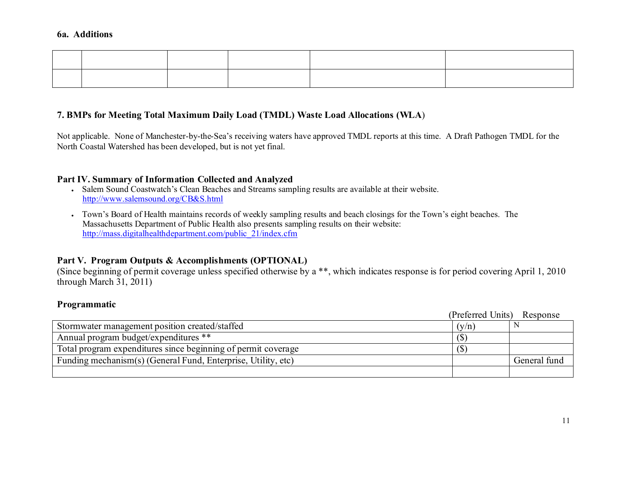#### **7. BMPs for Meeting Total Maximum Daily Load (TMDL) Waste Load Allocations (WLA**)

Not applicable. None of Manchester-by-the-Sea's receiving waters have approved TMDL reports at this time. A Draft Pathogen TMDL for the North Coastal Watershed has been developed, but is not yet final.

#### **Part IV. Summary of Information Collected and Analyzed**

- Salem Sound Coastwatch's Clean Beaches and Streams sampling results are available at their website. http://www.salemsound.org/CB&S.html
- Town's Board of Health maintains records of weekly sampling results and beach closings for the Town's eight beaches. The Massachusetts Department of Public Health also presents sampling results on their website: http://mass.digitalhealthdepartment.com/public\_21/index.cfm

### **Part V. Program Outputs & Accomplishments (OPTIONAL)**

(Since beginning of permit coverage unless specified otherwise by a \*\*, which indicates response is for period covering April 1, 2010 through March 31, 2011)

#### **Programmatic**

|                                                               | (Preferred Units) | Response     |
|---------------------------------------------------------------|-------------------|--------------|
| Stormwater management position created/staffed                | (y/n)             |              |
| Annual program budget/expenditures **                         | (S)               |              |
| Total program expenditures since beginning of permit coverage | $\sqrt{S}$        |              |
| Funding mechanism(s) (General Fund, Enterprise, Utility, etc) |                   | General fund |
|                                                               |                   |              |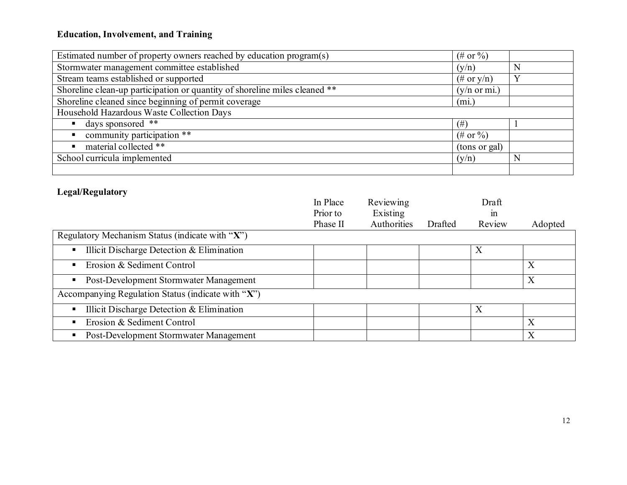## **Education, Involvement, and Training**

| Estimated number of property owners reached by education program(s)        | $(\# \text{ or } \%)$   |          |
|----------------------------------------------------------------------------|-------------------------|----------|
| Stormwater management committee established                                | (y/n)                   | N        |
| Stream teams established or supported                                      | $(\#$ or y/n)           | $\bf{V}$ |
| Shoreline clean-up participation or quantity of shoreline miles cleaned ** | $(y/n \text{ or } mi.)$ |          |
| Shoreline cleaned since beginning of permit coverage                       | (mi)                    |          |
| Household Hazardous Waste Collection Days                                  |                         |          |
| days sponsored **                                                          | $(\#)$                  |          |
| community participation **                                                 | $(\# \text{ or } \%)$   |          |
| material collected **                                                      | (tons or gal)           |          |
| School curricula implemented                                               | (y/n)                   | N        |
|                                                                            |                         |          |

## **Legal/Regulatory**

|                                                        | In Place | Reviewing   |         | Draft            |                  |
|--------------------------------------------------------|----------|-------------|---------|------------------|------------------|
|                                                        | Prior to | Existing    |         | $\ln$            |                  |
|                                                        | Phase II | Authorities | Drafted | Review           | Adopted          |
| Regulatory Mechanism Status (indicate with "X")        |          |             |         |                  |                  |
| Illicit Discharge Detection & Elimination<br>٠         |          |             |         | X                |                  |
| Erosion & Sediment Control<br>٠                        |          |             |         |                  | X                |
| Post-Development Stormwater Management                 |          |             |         |                  | $\boldsymbol{X}$ |
| Accompanying Regulation Status (indicate with " $X$ ") |          |             |         |                  |                  |
| Illicit Discharge Detection $& Elimination$            |          |             |         | $\boldsymbol{X}$ |                  |
| Erosion & Sediment Control                             |          |             |         |                  | X                |
| Post-Development Stormwater Management                 |          |             |         |                  | $\boldsymbol{X}$ |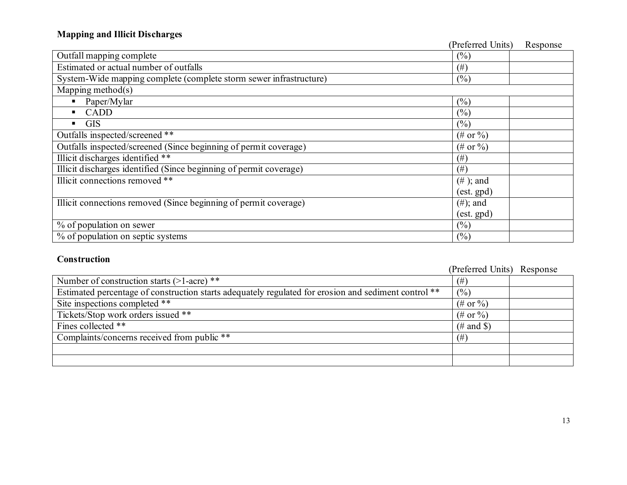## **Mapping and Illicit Discharges**

|                                                                    | (Preferred Units)     | Response |
|--------------------------------------------------------------------|-----------------------|----------|
| Outfall mapping complete                                           | (%)                   |          |
| Estimated or actual number of outfalls                             | (# )                  |          |
| System-Wide mapping complete (complete storm sewer infrastructure) | (%)                   |          |
| Mapping method $(s)$                                               |                       |          |
| Paper/Mylar                                                        | (%)                   |          |
| CADD<br>$\blacksquare$                                             | (%)                   |          |
| <b>GIS</b><br>٠                                                    | (%)                   |          |
| Outfalls inspected/screened **                                     | $(\# \text{ or } \%)$ |          |
| Outfalls inspected/screened (Since beginning of permit coverage)   | $(\# or \% )$         |          |
| Illicit discharges identified **                                   | (# )                  |          |
| Illicit discharges identified (Since beginning of permit coverage) | $(\#)$                |          |
| Illicit connections removed **                                     | $(\# )$ ; and         |          |
|                                                                    | $(est.$ gpd $)$       |          |
| Illicit connections removed (Since beginning of permit coverage)   | $(\#);$ and           |          |
|                                                                    | $(est.$ gpd $)$       |          |
| % of population on sewer                                           | (%)                   |          |
| % of population on septic systems                                  | (%)                   |          |

### **Construction**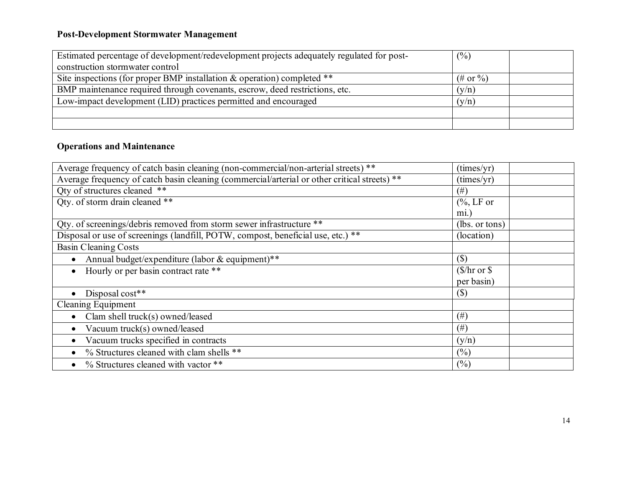### **Post-Development Stormwater Management**

| Estimated percentage of development/redevelopment projects adequately regulated for post- | $\frac{(0)}{0}$ |  |
|-------------------------------------------------------------------------------------------|-----------------|--|
| construction stormwater control                                                           |                 |  |
| Site inspections (for proper BMP installation $\&$ operation) completed **                | $(\# or \% )$   |  |
| BMP maintenance required through covenants, escrow, deed restrictions, etc.               | (y/n)           |  |
| Low-impact development (LID) practices permitted and encouraged                           | (y/n)           |  |
|                                                                                           |                 |  |
|                                                                                           |                 |  |

### **Operations and Maintenance**

| (times/yr)                |  |
|---------------------------|--|
| (times/yr)                |  |
| (# )                      |  |
| $\frac{6}{6}$ , LF or     |  |
| $mi.$ )                   |  |
| (lbs. or tons)            |  |
| (location)                |  |
|                           |  |
| $(\$\)$                   |  |
| $(\frac{1}{2})$ hr or \$  |  |
| per basin)                |  |
| $\left( \text{\$}\right)$ |  |
|                           |  |
| $(\#)$                    |  |
| $^{(#)}$                  |  |
| (y/n)                     |  |
| (%)                       |  |
| (%)                       |  |
|                           |  |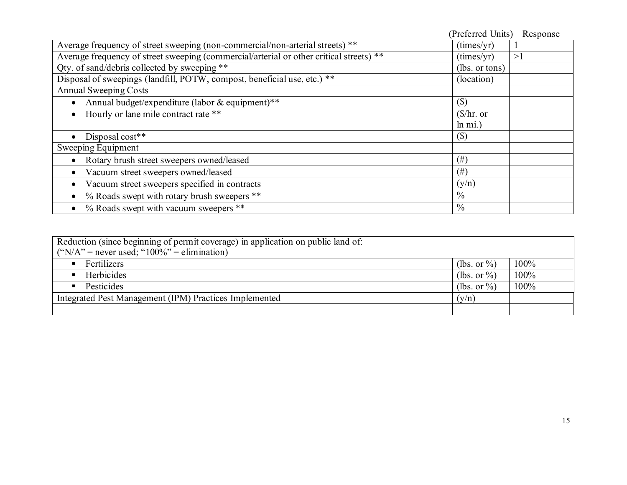|                                                                                         | (Preferred Units)      | Response |
|-----------------------------------------------------------------------------------------|------------------------|----------|
| Average frequency of street sweeping (non-commercial/non-arterial streets) **           | (imes/yr)              |          |
| Average frequency of street sweeping (commercial/arterial or other critical streets) ** | (times/yr)             | >1       |
| Qty. of sand/debris collected by sweeping **                                            | (lbs. or tons)         |          |
| Disposal of sweepings (landfill, POTW, compost, beneficial use, etc.) **                | (location)             |          |
| <b>Annual Sweeping Costs</b>                                                            |                        |          |
| Annual budget/expenditure (labor & equipment)**                                         | $(\$\)$                |          |
| Hourly or lane mile contract rate **                                                    | $(\frac{1}{2})$ hr. or |          |
|                                                                                         | $ln \text{ mi.}$       |          |
| Disposal cost**                                                                         | $(\$\)$                |          |
| Sweeping Equipment                                                                      |                        |          |
| Rotary brush street sweepers owned/leased                                               | $(\#)$                 |          |
| Vacuum street sweepers owned/leased                                                     | $(\#)$                 |          |
| Vacuum street sweepers specified in contracts                                           | (y/n)                  |          |
| % Roads swept with rotary brush sweepers **                                             | $\frac{0}{0}$          |          |
| % Roads swept with vacuum sweepers **                                                   | $\frac{0}{0}$          |          |

| Reduction (since beginning of permit coverage) in application on public land of: |                 |      |
|----------------------------------------------------------------------------------|-----------------|------|
| ("N/A" = never used; " $100\%$ " = elimination)                                  |                 |      |
| Fertilizers                                                                      | (lbs. or $\%$ ) | 100% |
| Herbicides                                                                       | (lbs. or $\%$ ) | 100% |
| Pesticides                                                                       | (lbs. or $\%$ ) | 100% |
| Integrated Pest Management (IPM) Practices Implemented                           | (y/n)           |      |
|                                                                                  |                 |      |